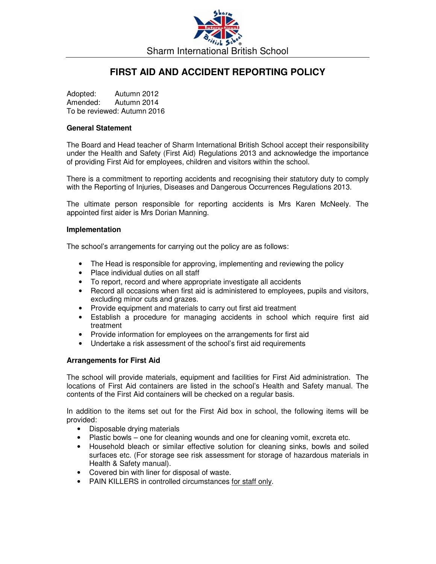

# **FIRST AID AND ACCIDENT REPORTING POLICY**

Adopted: Autumn 2012 Amended: Autumn 2014 To be reviewed: Autumn 2016

#### **General Statement**

The Board and Head teacher of Sharm International British School accept their responsibility under the Health and Safety (First Aid) Regulations 2013 and acknowledge the importance of providing First Aid for employees, children and visitors within the school.

There is a commitment to reporting accidents and recognising their statutory duty to comply with the Reporting of Injuries, Diseases and Dangerous Occurrences Regulations 2013.

The ultimate person responsible for reporting accidents is Mrs Karen McNeely. The appointed first aider is Mrs Dorian Manning.

#### **Implementation**

The school's arrangements for carrying out the policy are as follows:

- The Head is responsible for approving, implementing and reviewing the policy
- Place individual duties on all staff
- To report, record and where appropriate investigate all accidents
- Record all occasions when first aid is administered to employees, pupils and visitors, excluding minor cuts and grazes.
- Provide equipment and materials to carry out first aid treatment
- Establish a procedure for managing accidents in school which require first aid treatment
- Provide information for employees on the arrangements for first aid
- Undertake a risk assessment of the school's first aid requirements

#### **Arrangements for First Aid**

The school will provide materials, equipment and facilities for First Aid administration. The locations of First Aid containers are listed in the school's Health and Safety manual. The contents of the First Aid containers will be checked on a regular basis.

In addition to the items set out for the First Aid box in school, the following items will be provided:

- Disposable drying materials
- Plastic bowls one for cleaning wounds and one for cleaning vomit, excreta etc.
- Household bleach or similar effective solution for cleaning sinks, bowls and soiled surfaces etc. (For storage see risk assessment for storage of hazardous materials in Health & Safety manual).
- Covered bin with liner for disposal of waste.
- PAIN KILLERS in controlled circumstances for staff only.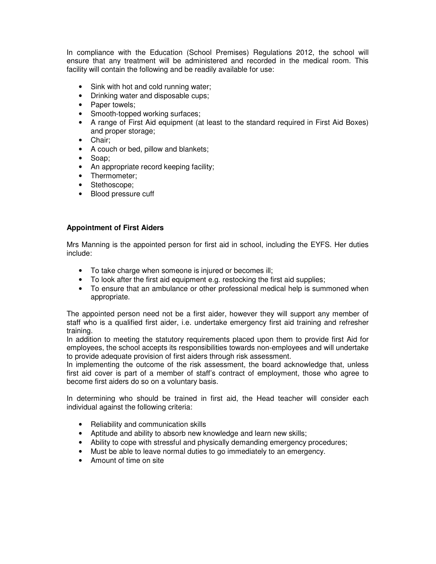In compliance with the Education (School Premises) Regulations 2012, the school will ensure that any treatment will be administered and recorded in the medical room. This facility will contain the following and be readily available for use:

- Sink with hot and cold running water;
- Drinking water and disposable cups;
- Paper towels;
- Smooth-topped working surfaces;
- A range of First Aid equipment (at least to the standard required in First Aid Boxes) and proper storage;
- Chair;
- A couch or bed, pillow and blankets;
- Soap;
- An appropriate record keeping facility;
- Thermometer;
- Stethoscope;
- Blood pressure cuff

# **Appointment of First Aiders**

Mrs Manning is the appointed person for first aid in school, including the EYFS. Her duties include:

- To take charge when someone is injured or becomes ill;
- To look after the first aid equipment e.g. restocking the first aid supplies;
- To ensure that an ambulance or other professional medical help is summoned when appropriate.

The appointed person need not be a first aider, however they will support any member of staff who is a qualified first aider, i.e. undertake emergency first aid training and refresher training.

In addition to meeting the statutory requirements placed upon them to provide first Aid for employees, the school accepts its responsibilities towards non-employees and will undertake to provide adequate provision of first aiders through risk assessment.

In implementing the outcome of the risk assessment, the board acknowledge that, unless first aid cover is part of a member of staff's contract of employment, those who agree to become first aiders do so on a voluntary basis.

In determining who should be trained in first aid, the Head teacher will consider each individual against the following criteria:

- Reliability and communication skills
- Aptitude and ability to absorb new knowledge and learn new skills;
- Ability to cope with stressful and physically demanding emergency procedures;
- Must be able to leave normal duties to go immediately to an emergency.
- Amount of time on site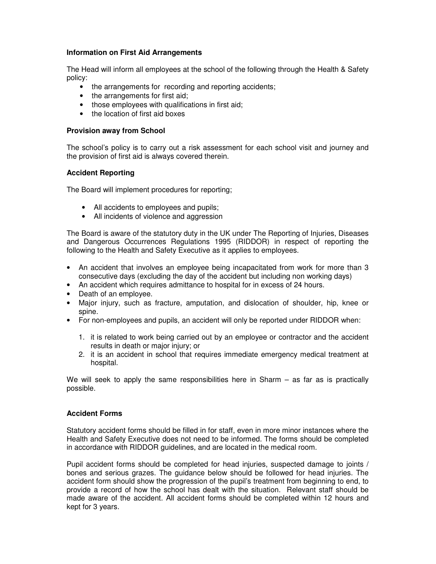# **Information on First Aid Arrangements**

The Head will inform all employees at the school of the following through the Health & Safety policy:

- the arrangements for recording and reporting accidents;
- the arrangements for first aid;
- those employees with qualifications in first aid;
- the location of first aid boxes

# **Provision away from School**

The school's policy is to carry out a risk assessment for each school visit and journey and the provision of first aid is always covered therein.

# **Accident Reporting**

The Board will implement procedures for reporting;

- All accidents to employees and pupils;
- All incidents of violence and aggression

The Board is aware of the statutory duty in the UK under The Reporting of Injuries, Diseases and Dangerous Occurrences Regulations 1995 (RIDDOR) in respect of reporting the following to the Health and Safety Executive as it applies to employees.

- An accident that involves an employee being incapacitated from work for more than 3 consecutive days (excluding the day of the accident but including non working days)
- An accident which requires admittance to hospital for in excess of 24 hours.
- Death of an employee.
- Major injury, such as fracture, amputation, and dislocation of shoulder, hip, knee or spine.
- For non-employees and pupils, an accident will only be reported under RIDDOR when:
	- 1. it is related to work being carried out by an employee or contractor and the accident results in death or major injury; or
	- 2. it is an accident in school that requires immediate emergency medical treatment at hospital.

We will seek to apply the same responsibilities here in Sharm  $-$  as far as is practically possible.

# **Accident Forms**

Statutory accident forms should be filled in for staff, even in more minor instances where the Health and Safety Executive does not need to be informed. The forms should be completed in accordance with RIDDOR guidelines, and are located in the medical room.

Pupil accident forms should be completed for head injuries, suspected damage to joints / bones and serious grazes. The guidance below should be followed for head injuries. The accident form should show the progression of the pupil's treatment from beginning to end, to provide a record of how the school has dealt with the situation. Relevant staff should be made aware of the accident. All accident forms should be completed within 12 hours and kept for 3 years.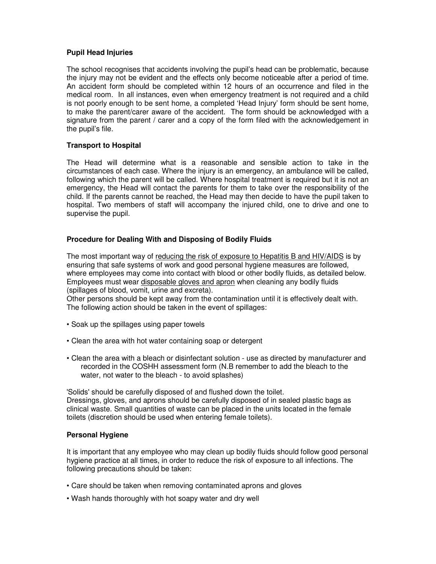# **Pupil Head Injuries**

The school recognises that accidents involving the pupil's head can be problematic, because the injury may not be evident and the effects only become noticeable after a period of time. An accident form should be completed within 12 hours of an occurrence and filed in the medical room. In all instances, even when emergency treatment is not required and a child is not poorly enough to be sent home, a completed 'Head Injury' form should be sent home, to make the parent/carer aware of the accident. The form should be acknowledged with a signature from the parent / carer and a copy of the form filed with the acknowledgement in the pupil's file.

#### **Transport to Hospital**

The Head will determine what is a reasonable and sensible action to take in the circumstances of each case. Where the injury is an emergency, an ambulance will be called, following which the parent will be called. Where hospital treatment is required but it is not an emergency, the Head will contact the parents for them to take over the responsibility of the child. If the parents cannot be reached, the Head may then decide to have the pupil taken to hospital. Two members of staff will accompany the injured child, one to drive and one to supervise the pupil.

#### **Procedure for Dealing With and Disposing of Bodily Fluids**

The most important way of reducing the risk of exposure to Hepatitis B and HIV/AIDS is by ensuring that safe systems of work and good personal hygiene measures are followed, where employees may come into contact with blood or other bodily fluids, as detailed below. Employees must wear disposable gloves and apron when cleaning any bodily fluids (spillages of blood, vomit, urine and excreta).

Other persons should be kept away from the contamination until it is effectively dealt with. The following action should be taken in the event of spillages:

- Soak up the spillages using paper towels
- Clean the area with hot water containing soap or detergent
- Clean the area with a bleach or disinfectant solution use as directed by manufacturer and recorded in the COSHH assessment form (N.B remember to add the bleach to the water, not water to the bleach - to avoid splashes)

'Solids' should be carefully disposed of and flushed down the toilet. Dressings, gloves, and aprons should be carefully disposed of in sealed plastic bags as clinical waste. Small quantities of waste can be placed in the units located in the female toilets (discretion should be used when entering female toilets).

# **Personal Hygiene**

It is important that any employee who may clean up bodily fluids should follow good personal hygiene practice at all times, in order to reduce the risk of exposure to all infections. The following precautions should be taken:

- Care should be taken when removing contaminated aprons and gloves
- Wash hands thoroughly with hot soapy water and dry well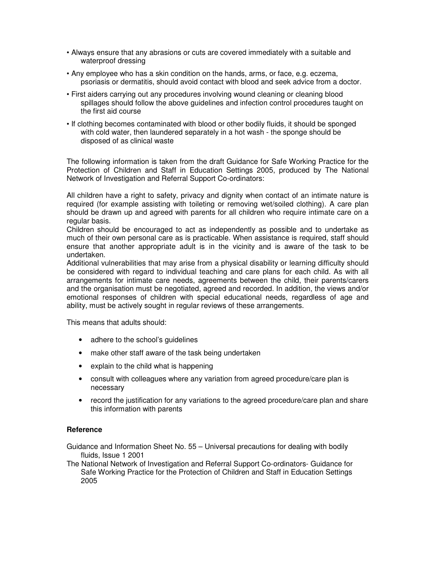- Always ensure that any abrasions or cuts are covered immediately with a suitable and waterproof dressing
- Any employee who has a skin condition on the hands, arms, or face, e.g. eczema, psoriasis or dermatitis, should avoid contact with blood and seek advice from a doctor.
- First aiders carrying out any procedures involving wound cleaning or cleaning blood spillages should follow the above guidelines and infection control procedures taught on the first aid course
- If clothing becomes contaminated with blood or other bodily fluids, it should be sponged with cold water, then laundered separately in a hot wash - the sponge should be disposed of as clinical waste

The following information is taken from the draft Guidance for Safe Working Practice for the Protection of Children and Staff in Education Settings 2005, produced by The National Network of Investigation and Referral Support Co-ordinators:

All children have a right to safety, privacy and dignity when contact of an intimate nature is required (for example assisting with toileting or removing wet/soiled clothing). A care plan should be drawn up and agreed with parents for all children who require intimate care on a regular basis.

Children should be encouraged to act as independently as possible and to undertake as much of their own personal care as is practicable. When assistance is required, staff should ensure that another appropriate adult is in the vicinity and is aware of the task to be undertaken.

Additional vulnerabilities that may arise from a physical disability or learning difficulty should be considered with regard to individual teaching and care plans for each child. As with all arrangements for intimate care needs, agreements between the child, their parents/carers and the organisation must be negotiated, agreed and recorded. In addition, the views and/or emotional responses of children with special educational needs, regardless of age and ability, must be actively sought in regular reviews of these arrangements.

This means that adults should:

- adhere to the school's quidelines
- make other staff aware of the task being undertaken
- explain to the child what is happening
- consult with colleagues where any variation from agreed procedure/care plan is necessary
- record the justification for any variations to the agreed procedure/care plan and share this information with parents

# **Reference**

Guidance and Information Sheet No. 55 – Universal precautions for dealing with bodily fluids, Issue 1 2001

The National Network of Investigation and Referral Support Co-ordinators- Guidance for Safe Working Practice for the Protection of Children and Staff in Education Settings 2005